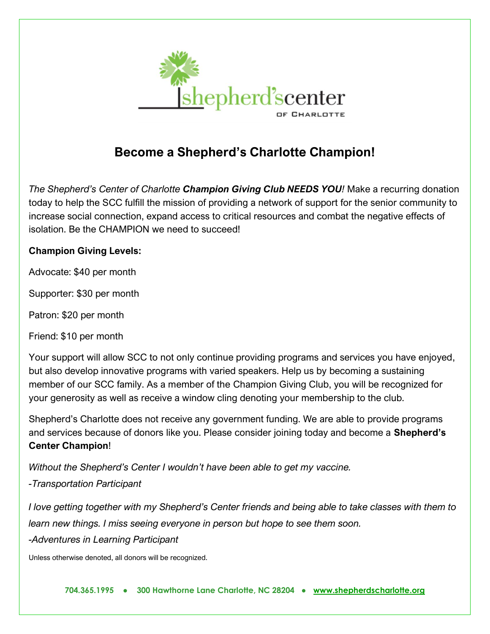

## **Become a Shepherd's Charlotte Champion!**

*The Shepherd's Center of Charlotte Champion Giving Club NEEDS YOU!* Make a recurring donation today to help the SCC fulfill the mission of providing a network of support for the senior community to increase social connection, expand access to critical resources and combat the negative effects of isolation. Be the CHAMPION we need to succeed!

## **Champion Giving Levels:**

Advocate: \$40 per month

Supporter: \$30 per month

Patron: \$20 per month

Friend: \$10 per month

Your support will allow SCC to not only continue providing programs and services you have enjoyed, but also develop innovative programs with varied speakers. Help us by becoming a sustaining member of our SCC family. As a member of the Champion Giving Club, you will be recognized for your generosity as well as receive a window cling denoting your membership to the club.

Shepherd's Charlotte does not receive any government funding. We are able to provide programs and services because of donors like you. Please consider joining today and become a **Shepherd's Center Champion**!

*Without the Shepherd's Center I wouldn't have been able to get my vaccine.* 

*-Transportation Participant* 

*I love getting together with my Shepherd's Center friends and being able to take classes with them to learn new things. I miss seeing everyone in person but hope to see them soon.* 

*-Adventures in Learning Participant*

Unless otherwise denoted, all donors will be recognized.